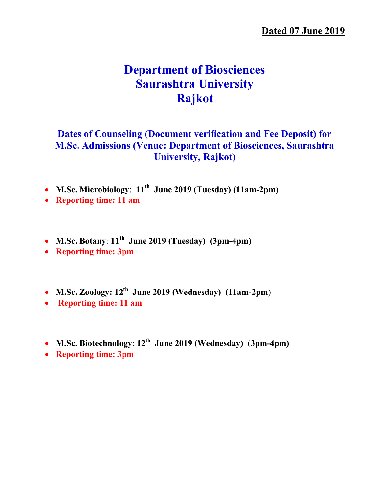# Department of Biosciences Saurashtra University Rajkot

### Dates of Counseling (Document verification and Fee Deposit) for M.Sc. Admissions (Venue: Department of Biosciences, Saurashtra University, Rajkot)

- M.Sc. Microbiology:  $11<sup>th</sup>$  June 2019 (Tuesday) (11am-2pm)
- Reporting time: 11 am
- M.Sc. Botany:  $11^{th}$  June 2019 (Tuesday) (3pm-4pm)
- Reporting time: 3pm
- M.Sc. Zoology:  $12<sup>th</sup>$  June 2019 (Wednesday) (11am-2pm)
- Reporting time: 11 am
- M.Sc. Biotechnology:  $12^{th}$  June 2019 (Wednesday) (3pm-4pm)
- Reporting time: 3pm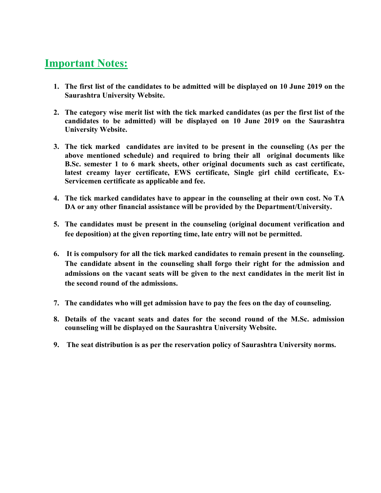## Important Notes:

- 1. The first list of the candidates to be admitted will be displayed on 10 June 2019 on the Saurashtra University Website.
- 2. The category wise merit list with the tick marked candidates (as per the first list of the candidates to be admitted) will be displayed on 10 June 2019 on the Saurashtra University Website.
- 3. The tick marked candidates are invited to be present in the counseling (As per the above mentioned schedule) and required to bring their all original documents like B.Sc. semester 1 to 6 mark sheets, other original documents such as cast certificate, latest creamy layer certificate, EWS certificate, Single girl child certificate, Ex-Servicemen certificate as applicable and fee.
- 4. The tick marked candidates have to appear in the counseling at their own cost. No TA DA or any other financial assistance will be provided by the Department/University.
- 5. The candidates must be present in the counseling (original document verification and fee deposition) at the given reporting time, late entry will not be permitted.
- 6. It is compulsory for all the tick marked candidates to remain present in the counseling. The candidate absent in the counseling shall forgo their right for the admission and admissions on the vacant seats will be given to the next candidates in the merit list in the second round of the admissions.
- 7. The candidates who will get admission have to pay the fees on the day of counseling.
- 8. Details of the vacant seats and dates for the second round of the M.Sc. admission counseling will be displayed on the Saurashtra University Website.
- 9. The seat distribution is as per the reservation policy of Saurashtra University norms.